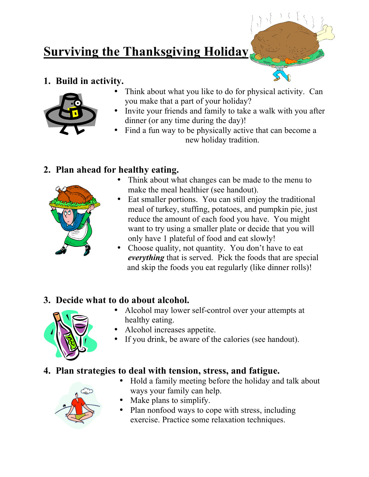# **Surviving the Thanksgiving Holiday**

#### **1. Build in activity.**



- Think about what you like to do for physical activity. Can you make that a part of your holiday?
- Invite your friends and family to take a walk with you after dinner (or any time during the day)!
- Find a fun way to be physically active that can become a new holiday tradition.

#### **2. Plan ahead for healthy eating.**



- Think about what changes can be made to the menu to make the meal healthier (see handout).
- Eat smaller portions. You can still enjoy the traditional meal of turkey, stuffing, potatoes, and pumpkin pie, just reduce the amount of each food you have. You might want to try using a smaller plate or decide that you will only have 1 plateful of food and eat slowly!
- Choose quality, not quantity. You don't have to eat *everything* that is served. Pick the foods that are special and skip the foods you eat regularly (like dinner rolls)!

## **3. Decide what to do about alcohol.**



- Alcohol may lower self-control over your attempts at healthy eating.
- Alcohol increases appetite.
- If you drink, be aware of the calories (see handout).

## **4. Plan strategies to deal with tension, stress, and fatigue.**



- Hold a family meeting before the holiday and talk about ways your family can help.
- Make plans to simplify.
- Plan nonfood ways to cope with stress, including exercise. Practice some relaxation techniques.